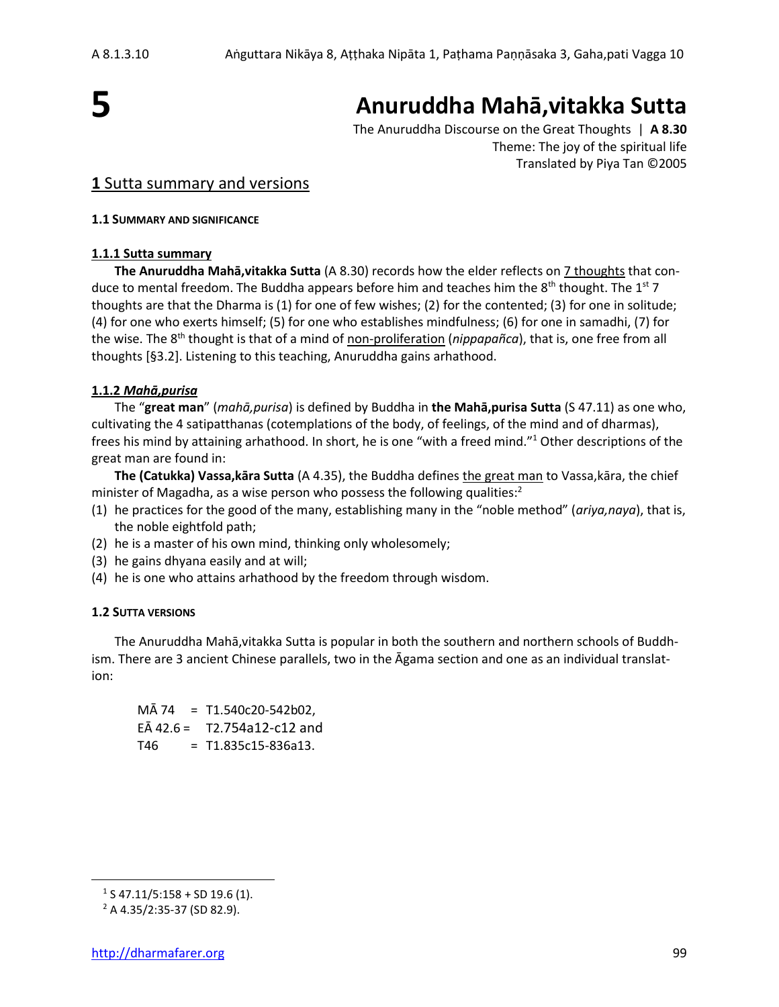

# **Anuruddha Mahā,vitakka Sutta**

The Anuruddha Discourse on the Great Thoughts | **A 8.30** Theme: The joy of the spiritual life Translated by Piya Tan ©2005

## **1** Sutta summary and versions

#### **1.1 SUMMARY AND SIGNIFICANCE**

### **1.1.1 Sutta summary**

**The Anuruddha Mahā,vitakka Sutta** (A 8.30) records how the elder reflects on 7 thoughts that conduce to mental freedom. The Buddha appears before him and teaches him the 8<sup>th</sup> thought. The 1<sup>st</sup> 7 thoughts are that the Dharma is (1) for one of few wishes; (2) for the contented; (3) for one in solitude; (4) for one who exerts himself; (5) for one who establishes mindfulness; (6) for one in samadhi, (7) for the wise. The 8th thought is that of a mind of non-proliferation (*nippapañca*), that is, one free from all thoughts [§3.2]. Listening to this teaching, Anuruddha gains arhathood.

### **1.1.2** *Mahā,purisa*

The "**great man**" (*mahā,purisa*) is defined by Buddha in **the Mahā,purisa Sutta** (S 47.11) as one who, cultivating the 4 satipatthanas (cotemplations of the body, of feelings, of the mind and of dharmas), frees his mind by attaining arhathood. In short, he is one "with a freed mind."<sup>1</sup> Other descriptions of the great man are found in:

**The (Catukka) Vassa,kāra Sutta** (A 4.35), the Buddha defines the great man to Vassa,kāra, the chief minister of Magadha, as a wise person who possess the following qualities:<sup>2</sup>

- (1) he practices for the good of the many, establishing many in the "noble method" (*ariya,naya*), that is, the noble eightfold path;
- (2) he is a master of his own mind, thinking only wholesomely;
- (3) he gains dhyana easily and at will;
- (4) he is one who attains arhathood by the freedom through wisdom.

### **1.2 SUTTA VERSIONS**

The Anuruddha Mahā,vitakka Sutta is popular in both the southern and northern schools of Buddhism. There are 3 ancient Chinese parallels, two in the Āgama section and one as an individual translation:

MĀ 74 = T1.540c20-542b02,  $E\bar{A}$  42.6 = T2.754a12-c12 and  $T46 = T1.835c15-836a13.$ 

 $1$  S 47.11/5:158 + SD 19.6 (1).

<sup>2</sup> A 4.35/2:35-37 (SD 82.9).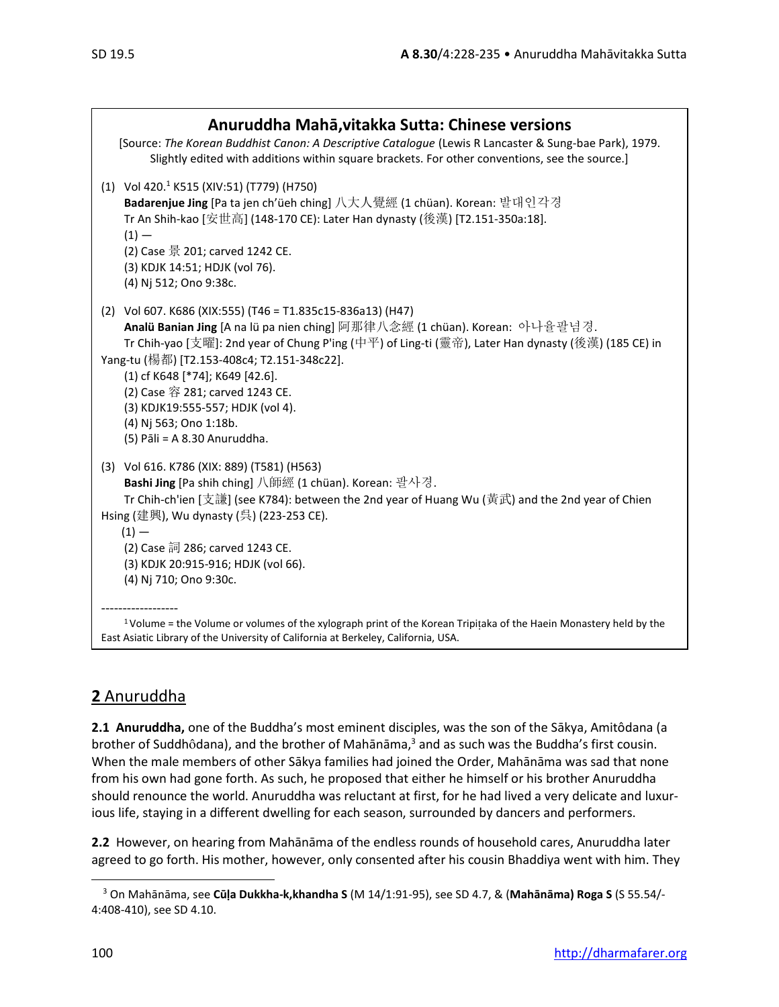| Anuruddha Mahā, vitakka Sutta: Chinese versions<br>[Source: The Korean Buddhist Canon: A Descriptive Catalogue (Lewis R Lancaster & Sung-bae Park), 1979.<br>Slightly edited with additions within square brackets. For other conventions, see the source.]                                                                                                                                                                                                         |
|---------------------------------------------------------------------------------------------------------------------------------------------------------------------------------------------------------------------------------------------------------------------------------------------------------------------------------------------------------------------------------------------------------------------------------------------------------------------|
| (1) Vol 420. <sup>1</sup> K515 (XIV:51) (T779) (H750)<br>Badarenjue Jing [Pa ta jen ch'üeh ching] 八大人覺經 (1 chüan). Korean: 발대인각경<br>Tr An Shih-kao [安世高] (148-170 CE): Later Han dynasty (後漢) [T2.151-350a:18].<br>$(1) -$<br>(2) Case 景 201; carved 1242 CE.<br>(3) KDJK 14:51; HDJK (vol 76).<br>(4) Nj 512; Ono 9:38c.                                                                                                                                           |
| (2) Vol 607. K686 (XIX:555) (T46 = T1.835c15-836a13) (H47)<br>Analü Banian Jing [A na lü pa nien ching] 阿那律八念經 (1 chüan). Korean: 아나율팔념경.<br>Tr Chih-yao [支曜]: 2nd year of Chung P'ing (中平) of Ling-ti (靈帝), Later Han dynasty (後漢) (185 CE) in<br>Yang-tu (楊都) [T2.153-408c4; T2.151-348c22].<br>(1) cf K648 [*74]; K649 [42.6].<br>(2) Case 容 281; carved 1243 CE.<br>(3) KDJK19:555-557; HDJK (vol 4).<br>(4) Nj 563; Ono 1:18b.<br>(5) Pāli = A 8.30 Anuruddha. |
| (3) Vol 616. K786 (XIX: 889) (T581) (H563)<br>Bashi Jing [Pa shih ching] 八師經 (1 chüan). Korean: 팔사경.<br>Tr Chih-ch'ien [支謙] (see K784): between the 2nd year of Huang Wu (黃武) and the 2nd year of Chien<br>Hsing (建興), Wu dynasty (呉) (223-253 CE).<br>$(1) -$<br>(2) Case 詞 286; carved 1243 CE.<br>(3) KDJK 20:915-916; HDJK (vol 66).<br>(4) Nj 710; Ono 9:30c.                                                                                                  |
| <sup>1</sup> Volume = the Volume or volumes of the xylograph print of the Korean Tripitaka of the Haein Monastery held by the<br>East Asiatic Library of the University of California at Berkeley, California, USA.                                                                                                                                                                                                                                                 |

# **2** Anuruddha

**2.1 Anuruddha,** one of the Buddha's most eminent disciples, was the son of the Sākya, Amitôdana (a brother of Suddhôdana), and the brother of Mahānāma,<sup>3</sup> and as such was the Buddha's first cousin. When the male members of other Sākya families had joined the Order, Mahānāma was sad that none from his own had gone forth. As such, he proposed that either he himself or his brother Anuruddha should renounce the world. Anuruddha was reluctant at first, for he had lived a very delicate and luxurious life, staying in a different dwelling for each season, surrounded by dancers and performers.

**2.2** However, on hearing from Mahānāma of the endless rounds of household cares, Anuruddha later agreed to go forth. His mother, however, only consented after his cousin Bhaddiya went with him. They

<sup>3</sup> On Mahānāma, see **Cūḷa Dukkha-k,khandha S** (M 14/1:91-95), see SD 4.7, & (**Mahānāma) Roga S** (S 55.54/- 4:408-410), see SD 4.10.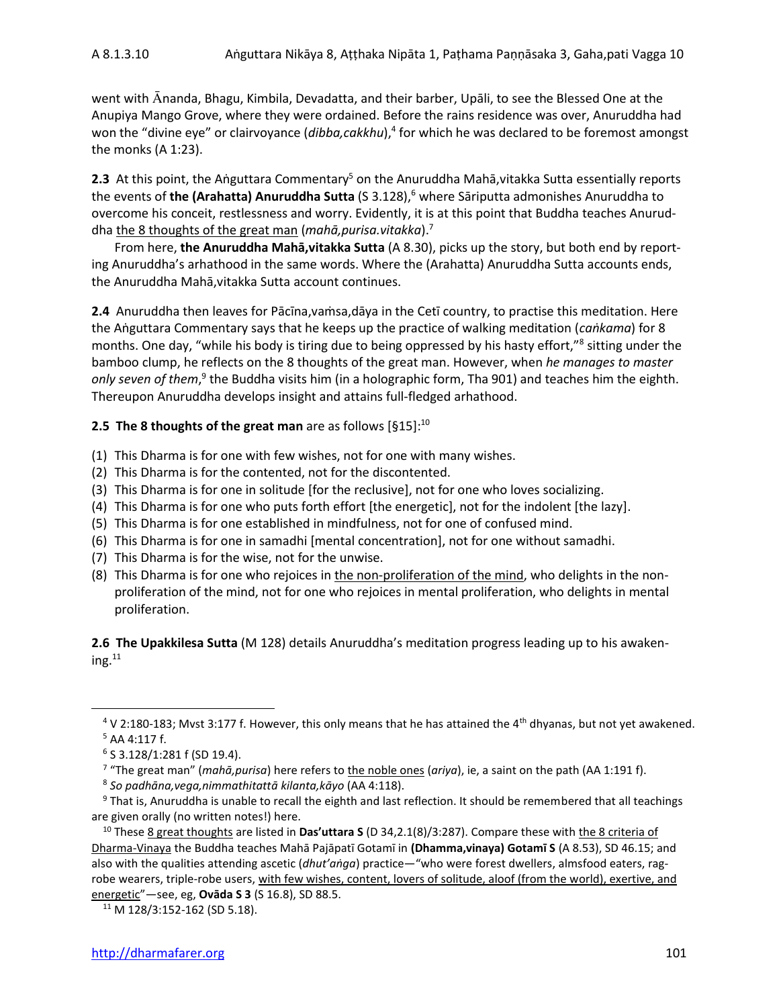went with Ananda, Bhagu, Kimbila, Devadatta, and their barber, Upāli, to see the Blessed One at the Anupiya Mango Grove, where they were ordained. Before the rains residence was over, Anuruddha had won the "divine eye" or clairvoyance (*dibba,cakkhu*),<sup>4</sup> for which he was declared to be foremost amongst the monks (A 1:23).

2.3 At this point, the Aṅguttara Commentary<sup>5</sup> on the Anuruddha Mahā, vitakka Sutta essentially reports the events of the (Arahatta) Anuruddha Sutta (S 3.128),<sup>6</sup> where Sāriputta admonishes Anuruddha to overcome his conceit, restlessness and worry. Evidently, it is at this point that Buddha teaches Anuruddha the 8 thoughts of the great man (*mahā,purisa.vitakka*).<sup>7</sup>

From here, **the Anuruddha Mahā,vitakka Sutta** (A 8.30), picks up the story, but both end by reporting Anuruddha's arhathood in the same words. Where the (Arahatta) Anuruddha Sutta accounts ends, the Anuruddha Mahā,vitakka Sutta account continues.

**2.4** Anuruddha then leaves for Pācīna,vaṁsa,dāya in the Cetī country, to practise this meditation. Here the Aṅguttara Commentary says that he keeps up the practice of walking meditation (*caṅkama*) for 8 months. One day, "while his body is tiring due to being oppressed by his hasty effort,"<sup>8</sup> sitting under the bamboo clump, he reflects on the 8 thoughts of the great man. However, when *he manages to master* only seven of them,<sup>9</sup> the Buddha visits him (in a holographic form, Tha 901) and teaches him the eighth. Thereupon Anuruddha develops insight and attains full-fledged arhathood.

## **2.5 The 8 thoughts of the great man** are as follows [§15]: 10

- (1) This Dharma is for one with few wishes, not for one with many wishes.
- (2) This Dharma is for the contented, not for the discontented.
- (3) This Dharma is for one in solitude [for the reclusive], not for one who loves socializing.
- (4) This Dharma is for one who puts forth effort [the energetic], not for the indolent [the lazy].
- (5) This Dharma is for one established in mindfulness, not for one of confused mind.
- (6) This Dharma is for one in samadhi [mental concentration], not for one without samadhi.
- (7) This Dharma is for the wise, not for the unwise.
- (8) This Dharma is for one who rejoices in the non-proliferation of the mind, who delights in the nonproliferation of the mind, not for one who rejoices in mental proliferation, who delights in mental proliferation.

**2.6 The Upakkilesa Sutta** (M 128) details Anuruddha's meditation progress leading up to his awaken $ing.<sup>11</sup>$ 

 $4$  V 2:180-183; Mvst 3:177 f. However, this only means that he has attained the 4<sup>th</sup> dhyanas, but not yet awakened. <sup>5</sup> AA 4:117 f.

<sup>6</sup> S 3.128/1:281 f (SD 19.4).

<sup>7</sup> "The great man" (*mahā,purisa*) here refers to the noble ones (*ariya*), ie, a saint on the path (AA 1:191 f).

<sup>8</sup> *So padhāna,vega,nimmathitattā kilanta,kāyo* (AA 4:118).

<sup>&</sup>lt;sup>9</sup> That is, Anuruddha is unable to recall the eighth and last reflection. It should be remembered that all teachings are given orally (no written notes!) here.

<sup>10</sup> These 8 great thoughts are listed in **Das'uttara S** (D 34,2.1(8)/3:287). Compare these with the 8 criteria of Dharma-Vinaya the Buddha teaches Mahā Pajāpatī Gotamī in **(Dhamma,vinaya) Gotamī S** (A 8.53), SD 46.15; and also with the qualities attending ascetic (*dhut'aṅga*) practice—"who were forest dwellers, almsfood eaters, ragrobe wearers, triple-robe users, with few wishes, content, lovers of solitude, aloof (from the world), exertive, and energetic"—see, eg, **Ovāda S 3** (S 16.8), SD 88.5.

<sup>11</sup> M 128/3:152-162 (SD 5.18).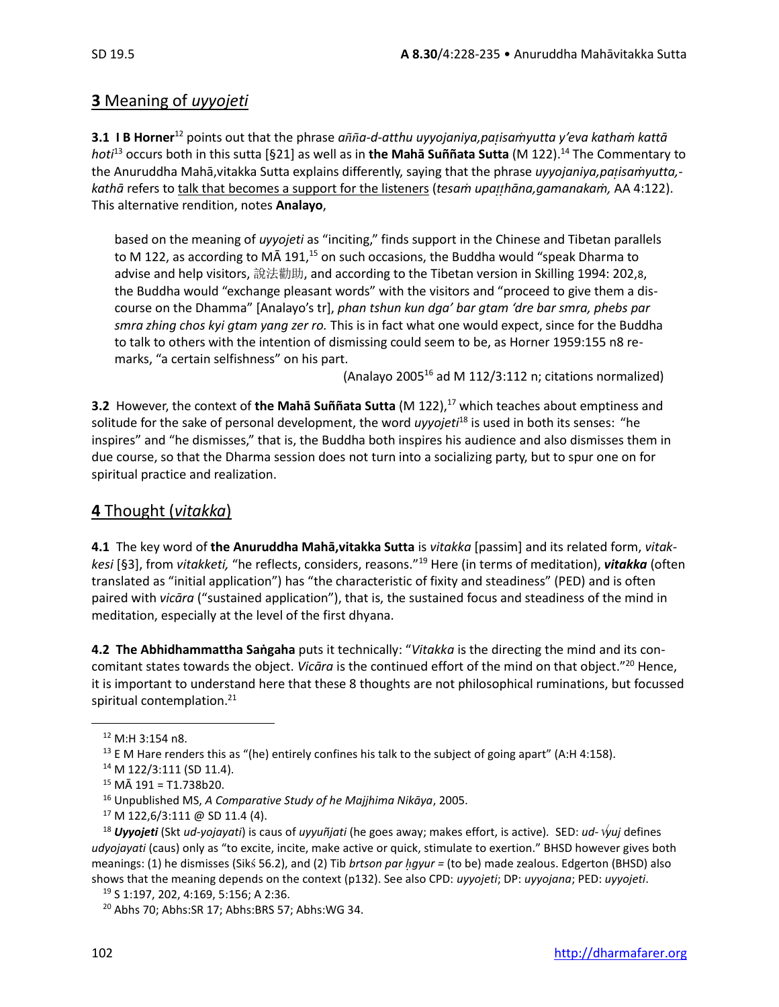# **3** Meaning of *uyyojeti*

**3.1 I B Horner**<sup>12</sup> points out that the phrase *aa-d-atthu uyyojaniya,paisaṁyutta y'eva kathaṁ kattā hoti*<sup>13</sup> occurs both in this sutta [§21] as well as in **the Mahā Suññata Sutta** (M 122).<sup>14</sup> The Commentary to the Anuruddha Mahā,vitakka Sutta explains differently, saying that the phrase *uyyojaniya,paisaṁyutta, kathā* refers to talk that becomes a support for the listeners (*tesaṁ upahāna,gamanakaṁ,* AA 4:122). This alternative rendition, notes **Analayo**,

based on the meaning of *uyyojeti* as "inciting," finds support in the Chinese and Tibetan parallels to M 122, as according to MA 191,<sup>15</sup> on such occasions, the Buddha would "speak Dharma to advise and help visitors, 說法勸助, and according to the Tibetan version in Skilling 1994: 202,8, the Buddha would "exchange pleasant words" with the visitors and "proceed to give them a discourse on the Dhamma" [Analayo's tr], *phan tshun kun dga' bar gtam 'dre bar smra, phebs par smra zhing chos kyi gtam yang zer ro.* This is in fact what one would expect, since for the Buddha to talk to others with the intention of dismissing could seem to be, as Horner 1959:155 n8 remarks, "a certain selfishness" on his part.

(Analayo 2005 $^{16}$  ad M 112/3:112 n; citations normalized)

**3.2** However, the context of the Maha Suññata Sutta (M 122),<sup>17</sup> which teaches about emptiness and solitude for the sake of personal development, the word *uyyojeti*<sup>18</sup> is used in both its senses: "he inspires" and "he dismisses," that is, the Buddha both inspires his audience and also dismisses them in due course, so that the Dharma session does not turn into a socializing party, but to spur one on for spiritual practice and realization.

# **4** Thought (*vitakka*)

**4.1** The key word of **the Anuruddha Mahā,vitakka Sutta** is *vitakka* [passim] and its related form, *vitakkesi* [§3], from *vitakketi,* "he reflects, considers, reasons." <sup>19</sup> Here (in terms of meditation), *vitakka* (often translated as "initial application") has "the characteristic of fixity and steadiness" (PED) and is often paired with *vicāra* ("sustained application"), that is, the sustained focus and steadiness of the mind in meditation, especially at the level of the first dhyana.

**4.2 The Abhidhammattha Saṅgaha** puts it technically: "*Vitakka* is the directing the mind and its concomitant states towards the object. *Vicāra* is the continued effort of the mind on that object." <sup>20</sup> Hence, it is important to understand here that these 8 thoughts are not philosophical ruminations, but focussed spiritual contemplation.<sup>21</sup>

<sup>12</sup> M:H 3:154 n8.

<sup>&</sup>lt;sup>13</sup> E M Hare renders this as "(he) entirely confines his talk to the subject of going apart" (A:H 4:158).

<sup>&</sup>lt;sup>14</sup> M 122/3:111 (SD 11.4).

 $15$  MÅ 191 = T1.738b20.

<sup>16</sup> Unpublished MS, *A Comparative Study of he Majjhima Nikāya*, 2005.

 $17$  M 122,6/3:111 @ SD 11.4 (4).

<sup>18</sup> *Uyyojeti* (Skt *ud-yojayati*) is caus of *uyyuñjati* (he goes away; makes effort, is active)*.* SED: *ud-yuj* defines *udyojayati* (caus) only as "to excite, incite, make active or quick, stimulate to exertion." BHSD however gives both meanings: (1) he dismisses (Sik 56.2), and (2) Tib *brtson par gyur =* (to be) made zealous. Edgerton (BHSD) also shows that the meaning depends on the context (p132). See also CPD: *uyyojeti*; DP: *uyyojana*; PED: *uyyojeti*.

<sup>19</sup> S 1:197, 202, 4:169, 5:156; A 2:36.

<sup>20</sup> Abhs 70; Abhs:SR 17; Abhs:BRS 57; Abhs:WG 34.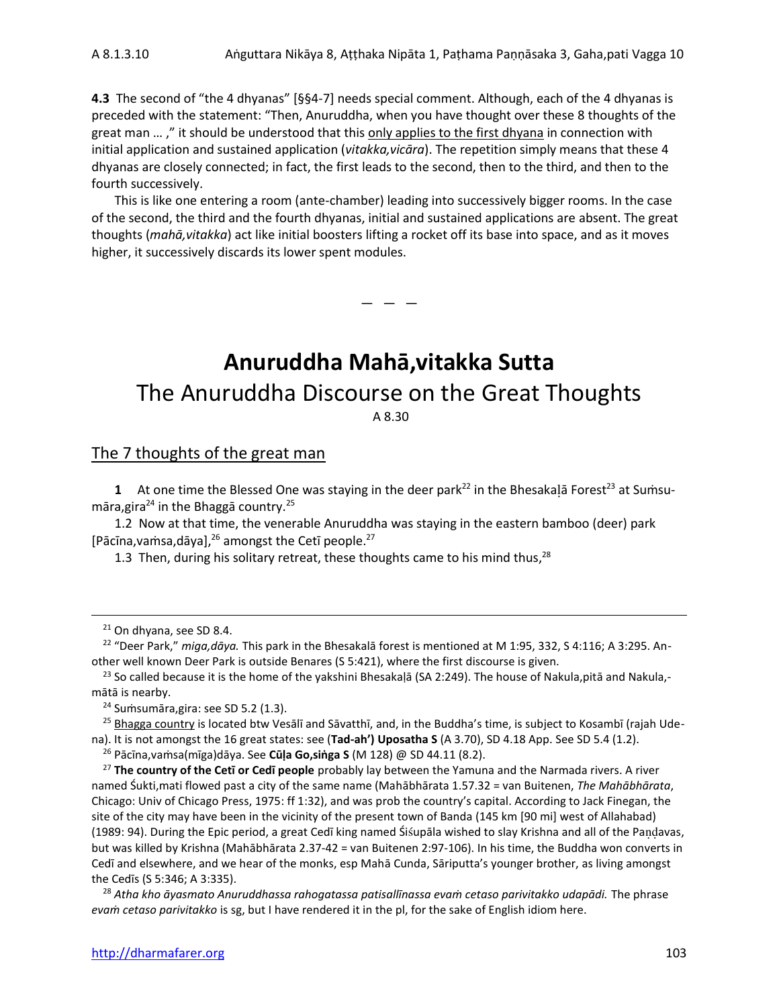**4.3** The second of "the 4 dhyanas" [§§4-7] needs special comment. Although, each of the 4 dhyanas is preceded with the statement: "Then, Anuruddha, when you have thought over these 8 thoughts of the great man ...," it should be understood that this only applies to the first dhyana in connection with initial application and sustained application (*vitakka,vicāra*). The repetition simply means that these 4 dhyanas are closely connected; in fact, the first leads to the second, then to the third, and then to the fourth successively.

This is like one entering a room (ante-chamber) leading into successively bigger rooms. In the case of the second, the third and the fourth dhyanas, initial and sustained applications are absent. The great thoughts (*mahā,vitakka*) act like initial boosters lifting a rocket off its base into space, and as it moves higher, it successively discards its lower spent modules.

 $-$ 

# **Anuruddha Mahā,vitakka Sutta** The Anuruddha Discourse on the Great Thoughts A 8.30

### The 7 thoughts of the great man

**1** At one time the Blessed One was staying in the deer park<sup>22</sup> in the Bhesakalā Forest<sup>23</sup> at Sumsumāra,gira <sup>24</sup> in the Bhaggā country.<sup>25</sup>

1.2 Now at that time, the venerable Anuruddha was staying in the eastern bamboo (deer) park [Pācīna, vamsa, dāya], $^{26}$  amongst the Cetī people.<sup>27</sup>

1.3 Then, during his solitary retreat, these thoughts came to his mind thus,<sup>28</sup>

<sup>22</sup> "Deer Park," *miga,dāya.* This park in the Bhesakalā forest is mentioned at M 1:95, 332, S 4:116; A 3:295. Another well known Deer Park is outside Benares (S 5:421), where the first discourse is given.

<sup>23</sup> So called because it is the home of the yakshini Bhesakaḷā (SA 2:249). The house of Nakula, pitā and Nakula,mātā is nearby.

<sup>24</sup> Sumsumāra, gira: see SD 5.2 (1.3).

<sup>25</sup> Bhagga country is located btw Vesālī and Sāvatthī, and, in the Buddha's time, is subject to Kosambī (rajah Udena). It is not amongst the 16 great states: see (**Tad-ah') Uposatha S** (A 3.70), SD 4.18 App. See SD 5.4 (1.2).

<sup>26</sup> Pācīna,vaṁsa(mīga)dāya. See **Cūḷa Go,siṅga S** (M 128) @ SD 44.11 (8.2).

<sup>27</sup> **The country of the Cetī or Cedī people** probably lay between the Yamuna and the Narmada rivers. A river named Śukti,mati flowed past a city of the same name (Mahābhārata 1.57.32 = van Buitenen, *The Mahābhārata*, Chicago: Univ of Chicago Press, 1975: ff 1:32), and was prob the country's capital. According to Jack Finegan, the site of the city may have been in the vicinity of the present town of Banda (145 km [90 mi] west of Allahabad) (1989: 94). During the Epic period, a great Cedī king named Śiupāla wished to slay Krishna and all of the Paavas, but was killed by Krishna (Mahābhārata 2.37-42 = van Buitenen 2:97-106). In his time, the Buddha won converts in Cedī and elsewhere, and we hear of the monks, esp Mahā Cunda, Sāriputta's younger brother, as living amongst the Cedīs (S 5:346; A 3:335).

<sup>28</sup> *Atha kho āyasmato Anuruddhassa rahogatassa patisallīnassa evaṁ cetaso parivitakko udapādi.* The phrase *evaṁ cetaso parivitakko* is sg, but I have rendered it in the pl, for the sake of English idiom here.

<sup>21</sup> On dhyana, see SD 8.4.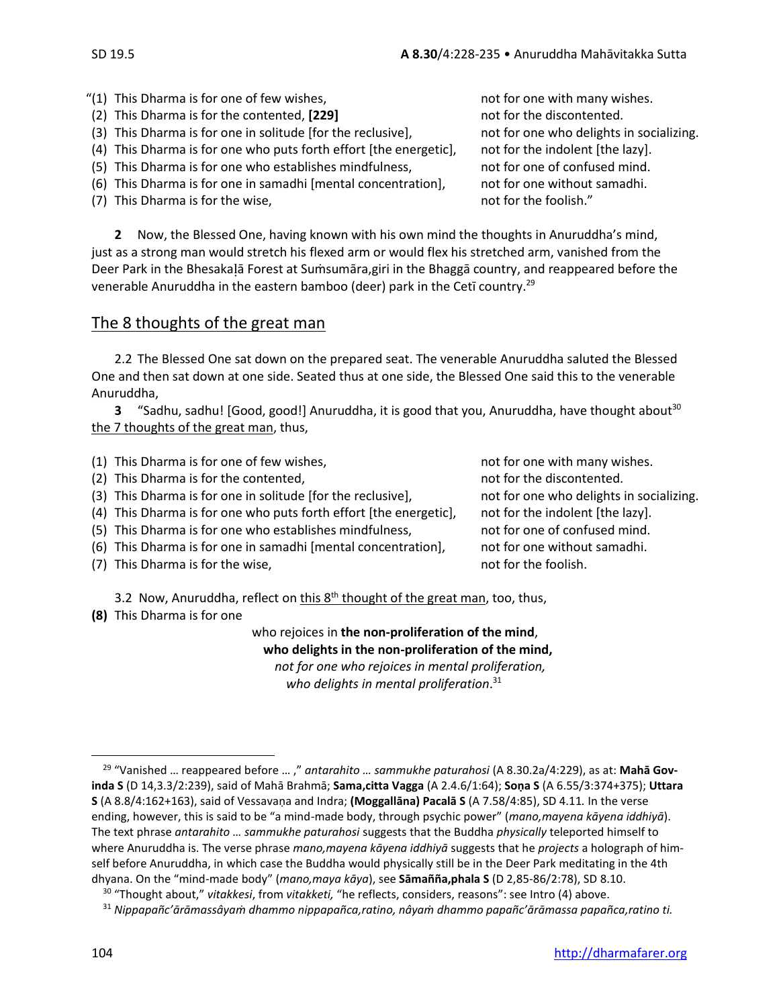- "(1) This Dharma is for one of few wishes, not for one with many wishes.
- (2) This Dharma is for the contented, **[229]** not for the discontented.
- (3) This Dharma is for one in solitude [for the reclusive], not for one who delights in socializing.
- (4) This Dharma is for one who puts forth effort [the energetic], not for the indolent [the lazy].
- (5) This Dharma is for one who establishes mindfulness, and for one of confused mind.
- (6) This Dharma is for one in samadhi [mental concentration], not for one without samadhi.

venerable Anuruddha in the eastern bamboo (deer) park in the Cetī country.<sup>29</sup>

(7) This Dharma is for the wise,  $(7)$  This Dharma is for the wise, **2** Now, the Blessed One, having known with his own mind the thoughts in Anuruddha's mind, just as a strong man would stretch his flexed arm or would flex his stretched arm, vanished from the Deer Park in the Bhesakalā Forest at Sumsumāra,giri in the Bhaggā country, and reappeared before the

## The 8 thoughts of the great man

2.2 The Blessed One sat down on the prepared seat. The venerable Anuruddha saluted the Blessed One and then sat down at one side. Seated thus at one side, the Blessed One said this to the venerable Anuruddha,

**3** "Sadhu, sadhu! [Good, good!] Anuruddha, it is good that you, Anuruddha, have thought about<sup>30</sup> the 7 thoughts of the great man, thus,

| (1) This Dharma is for one of few wishes,<br>(2) This Dharma is for the contented, | not for one with many wishes.<br>not for the discontented. |
|------------------------------------------------------------------------------------|------------------------------------------------------------|
| (3) This Dharma is for one in solitude [for the reclusive],                        | not for one who delights in socializing.                   |
| (4) This Dharma is for one who puts forth effort [the energetic],                  | not for the indolent [the lazy].                           |
| (5) This Dharma is for one who establishes mindfulness,                            | not for one of confused mind.                              |
| (6) This Dharma is for one in samadhi [mental concentration],                      | not for one without samadhi.                               |
| (7) This Dharma is for the wise,                                                   | not for the foolish.                                       |

3.2 Now, Anuruddha, reflect on this 8<sup>th</sup> thought of the great man, too, thus,

**(8)** This Dharma is for one

who rejoices in **the non-proliferation of the mind**, **who delights in the non-proliferation of the mind,**  *not for one who rejoices in mental proliferation, who delights in mental proliferation*. 31

<sup>29</sup> "Vanished … reappeared before … ," *antarahito … sammukhe paturahosi* (A 8.30.2a/4:229), as at: **Mahā Govinda S** (D 14,3.3/2:239), said of Mahā Brahmā; **Sama,citta Vagga** (A 2.4.6/1:64); **Soṇa S** (A 6.55/3:374+375); **Uttara S** (A 8.8/4:162+163), said of Vessavaṇa and Indra; **(Moggallāna) Pacalā S** (A 7.58/4:85), SD 4.11*.* In the verse ending, however, this is said to be "a mind-made body, through psychic power" (*mano,mayena kāyena iddhiyā*). The text phrase *antarahito … sammukhe paturahosi* suggests that the Buddha *physically* teleported himself to where Anuruddha is. The verse phrase *mano,mayena kāyena iddhiyā* suggests that he *projects* a holograph of himself before Anuruddha, in which case the Buddha would physically still be in the Deer Park meditating in the 4th dhyana. On the "mind-made body" (*mano,maya kāya*), see **Sāmañña,phala S** (D 2,85-86/2:78), SD 8.10.

<sup>30</sup> "Thought about," *vitakkesi*, from *vitakketi,* "he reflects, considers, reasons": see Intro (4) above.

<sup>31</sup> *Nippapañc'ārāmassâyaṁ dhammo nippapañca,ratino, nâyaṁ dhammo papañc'ārāmassa papañca,ratino ti.*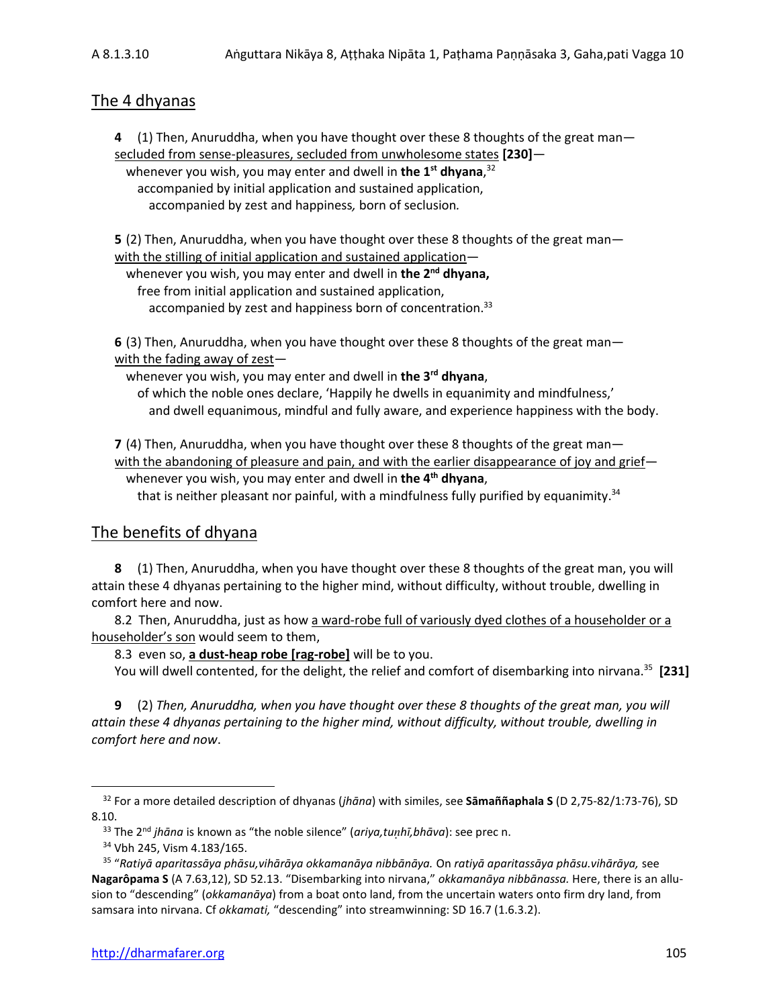## The 4 dhyanas

**4** (1) Then, Anuruddha, when you have thought over these 8 thoughts of the great man secluded from sense-pleasures, secluded from unwholesome states **[230]** whenever you wish, you may enter and dwell in **the 1 st dhyana**, 32 accompanied by initial application and sustained application,

accompanied by zest and happiness*,* born of seclusion*.*

**5** (2) Then, Anuruddha, when you have thought over these 8 thoughts of the great man with the stilling of initial application and sustained application—

whenever you wish, you may enter and dwell in **the 2 nd dhyana,** free from initial application and sustained application, accompanied by zest and happiness born of concentration.<sup>33</sup>

**6** (3) Then, Anuruddha, when you have thought over these 8 thoughts of the great man with the fading away of zest—

whenever you wish, you may enter and dwell in **the 3 rd dhyana**,

of which the noble ones declare, 'Happily he dwells in equanimity and mindfulness,' and dwell equanimous, mindful and fully aware, and experience happiness with the body.

**7** (4) Then, Anuruddha, when you have thought over these 8 thoughts of the great man with the abandoning of pleasure and pain, and with the earlier disappearance of joy and grief whenever you wish, you may enter and dwell in **the 4 th dhyana**,

that is neither pleasant nor painful, with a mindfulness fully purified by equanimity.<sup>34</sup>

## The benefits of dhyana

**8** (1) Then, Anuruddha, when you have thought over these 8 thoughts of the great man, you will attain these 4 dhyanas pertaining to the higher mind, without difficulty, without trouble, dwelling in comfort here and now.

8.2 Then, Anuruddha, just as how a ward-robe full of variously dyed clothes of a householder or a householder's son would seem to them,

8.3 even so, **a dust-heap robe [rag-robe]** will be to you.

You will dwell contented, for the delight, the relief and comfort of disembarking into nirvana.<sup>35</sup> **[231]**

**9** (2) *Then, Anuruddha, when you have thought over these 8 thoughts of the great man, you will attain these 4 dhyanas pertaining to the higher mind, without difficulty, without trouble, dwelling in comfort here and now*.

<sup>32</sup> For a more detailed description of dhyanas (*jhāna*) with similes, see **Sāmaññaphala S** (D 2,75-82/1:73-76), SD 8.10.

<sup>33</sup> The 2nd *jhāna* is known as "the noble silence" (*ariya,tuhī,bhāva*): see prec n.

<sup>34</sup> Vbh 245, Vism 4.183/165.

<sup>35</sup> "*Ratiyā aparitassāya phāsu,vihārāya okkamanāya nibbānāya.* On *ratiyā aparitassāya phāsu.vihārāya,* see **Nagarôpama S** (A 7.63,12), SD 52.13. "Disembarking into nirvana," *okkamanāya nibbānassa.* Here, there is an allusion to "descending" (*okkamanāya*) from a boat onto land, from the uncertain waters onto firm dry land, from samsara into nirvana. Cf *okkamati,* "descending" into streamwinning: SD 16.7 (1.6.3.2).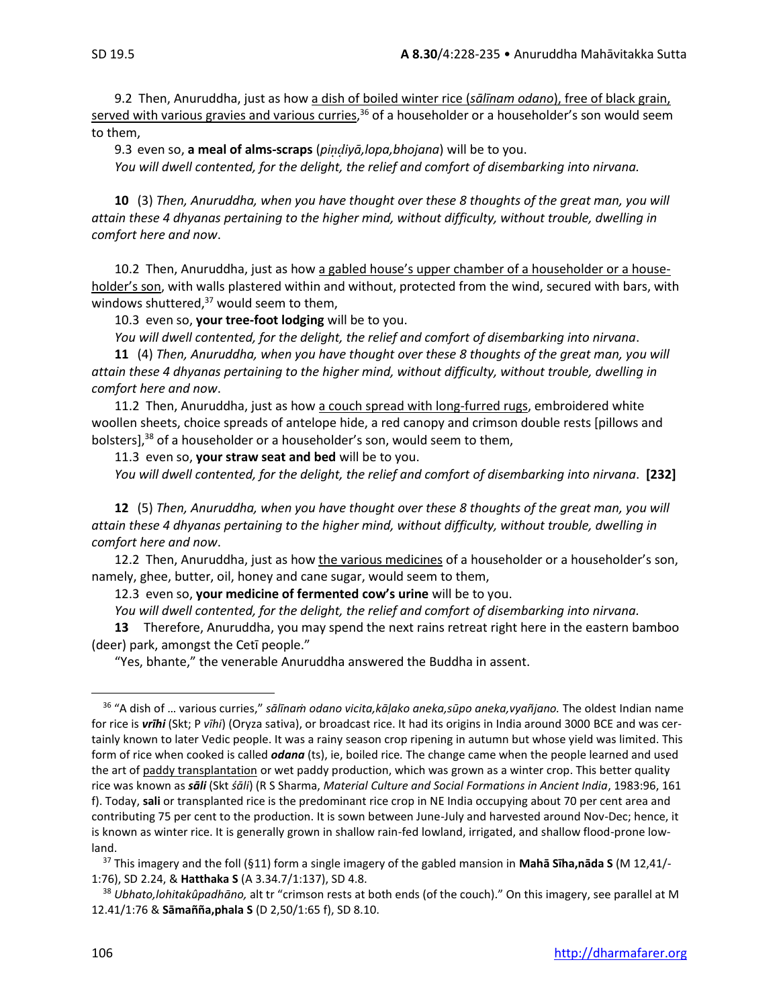9.2 Then, Anuruddha, just as how a dish of boiled winter rice (*sālīnam odano*), free of black grain, served with various gravies and various curries,<sup>36</sup> of a householder or a householder's son would seem to them,

9.3 even so, **a meal of alms-scraps** (*piiyā,lopa,bhojana*) will be to you.

*You will dwell contented, for the delight, the relief and comfort of disembarking into nirvana.* 

**10** (3) *Then, Anuruddha, when you have thought over these 8 thoughts of the great man, you will attain these 4 dhyanas pertaining to the higher mind, without difficulty, without trouble, dwelling in comfort here and now*.

10.2 Then, Anuruddha, just as how a gabled house's upper chamber of a householder or a householder's son, with walls plastered within and without, protected from the wind, secured with bars, with windows shuttered, $37$  would seem to them,

10.3 even so, **your tree-foot lodging** will be to you.

*You will dwell contented, for the delight, the relief and comfort of disembarking into nirvana*.

**11** (4) *Then, Anuruddha, when you have thought over these 8 thoughts of the great man, you will attain these 4 dhyanas pertaining to the higher mind, without difficulty, without trouble, dwelling in comfort here and now*.

11.2 Then, Anuruddha, just as how a couch spread with long-furred rugs, embroidered white woollen sheets, choice spreads of antelope hide, a red canopy and crimson double rests [pillows and bolsters],<sup>38</sup> of a householder or a householder's son, would seem to them,

11.3 even so, **your straw seat and bed** will be to you. *You will dwell contented, for the delight, the relief and comfort of disembarking into nirvana*. **[232]**

**12** (5) *Then, Anuruddha, when you have thought over these 8 thoughts of the great man, you will attain these 4 dhyanas pertaining to the higher mind, without difficulty, without trouble, dwelling in comfort here and now*.

12.2 Then, Anuruddha, just as how the various medicines of a householder or a householder's son, namely, ghee, butter, oil, honey and cane sugar, would seem to them,

12.3 even so, **your medicine of fermented cow's urine** will be to you.

*You will dwell contented, for the delight, the relief and comfort of disembarking into nirvana.* 

**13** Therefore, Anuruddha, you may spend the next rains retreat right here in the eastern bamboo (deer) park, amongst the Cetī people."

"Yes, bhante," the venerable Anuruddha answered the Buddha in assent.

<sup>36</sup> "A dish of … various curries," *sālīnaṁ odano vicita,kāḷako aneka,sūpo aneka,vyañjano.* The oldest Indian name for rice is *vrīhi* (Skt; P *vīhi*) (Oryza sativa), or broadcast rice. It had its origins in India around 3000 BCE and was certainly known to later Vedic people. It was a rainy season crop ripening in autumn but whose yield was limited. This form of rice when cooked is called *odana* (ts), ie, boiled rice*.* The change came when the people learned and used the art of paddy transplantation or wet paddy production, which was grown as a winter crop. This better quality rice was known as *sāli* (Skt *śāli*) (R S Sharma, *Material Culture and Social Formations in Ancient India*, 1983:96, 161 f). Today, **sali** or transplanted rice is the predominant rice crop in NE India occupying about 70 per cent area and contributing 75 per cent to the production. It is sown between June-July and harvested around Nov-Dec; hence, it is known as winter rice. It is generally grown in shallow rain-fed lowland, irrigated, and shallow flood-prone lowland.

<sup>37</sup> This imagery and the foll (§11) form a single imagery of the gabled mansion in **Mahā Sīha,nāda S** (M 12,41/- 1:76), SD 2.24, & **Hatthaka S** (A 3.34.7/1:137), SD 4.8.

<sup>38</sup> *Ubhato,lohitakûpadhāno,* alt tr "crimson rests at both ends (of the couch)." On this imagery, see parallel at M 12.41/1:76 & **Sāmañña,phala S** (D 2,50/1:65 f), SD 8.10.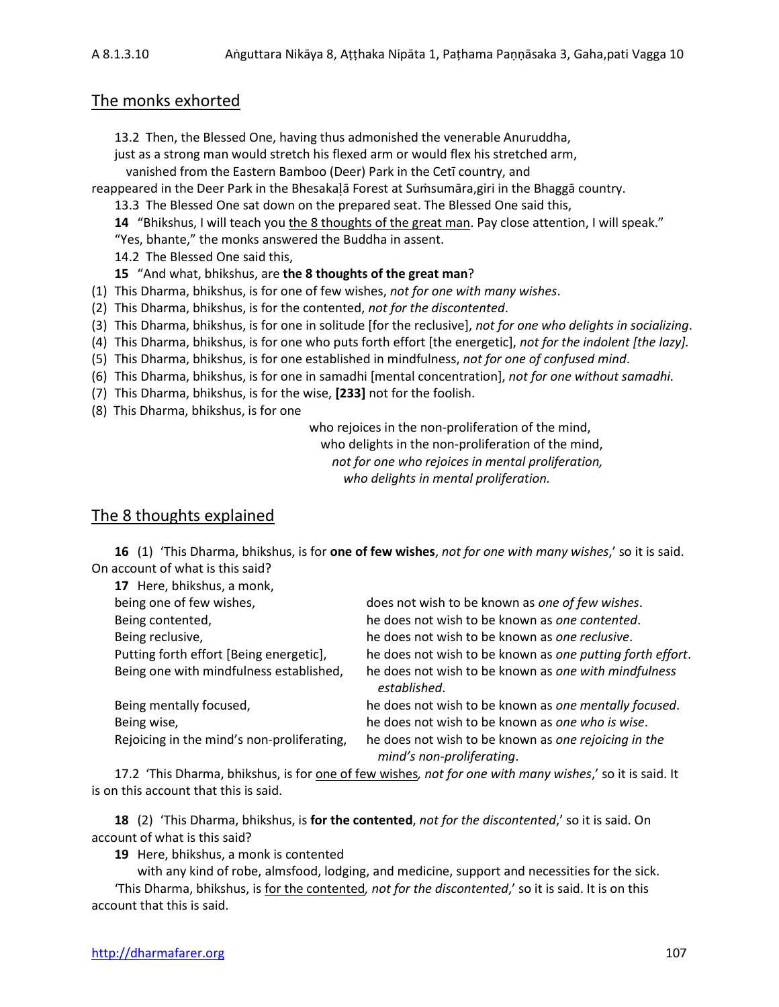## The monks exhorted

13.2 Then, the Blessed One, having thus admonished the venerable Anuruddha,

just as a strong man would stretch his flexed arm or would flex his stretched arm,

vanished from the Eastern Bamboo (Deer) Park in the Cetī country, and

reappeared in the Deer Park in the Bhesakalā Forest at Sumsumāra, giri in the Bhaggā country.

13.3 The Blessed One sat down on the prepared seat. The Blessed One said this,

**14** "Bhikshus, I will teach you the 8 thoughts of the great man. Pay close attention, I will speak." "Yes, bhante," the monks answered the Buddha in assent.

14.2 The Blessed One said this,

**15** "And what, bhikshus, are **the 8 thoughts of the great man**?

(1) This Dharma, bhikshus, is for one of few wishes, *not for one with many wishes*.

(2) This Dharma, bhikshus, is for the contented, *not for the discontented*.

(3) This Dharma, bhikshus, is for one in solitude [for the reclusive], *not for one who delights in socializing*.

(4) This Dharma, bhikshus, is for one who puts forth effort [the energetic], *not for the indolent [the lazy].*

(5) This Dharma, bhikshus, is for one established in mindfulness, *not for one of confused mind*.

(6) This Dharma, bhikshus, is for one in samadhi [mental concentration], *not for one without samadhi.*

(7) This Dharma, bhikshus, is for the wise, **[233]** not for the foolish.

(8) This Dharma, bhikshus, is for one

who rejoices in the non-proliferation of the mind, who delights in the non-proliferation of the mind, *not for one who rejoices in mental proliferation, who delights in mental proliferation.*

## The 8 thoughts explained

**16** (1) 'This Dharma, bhikshus, is for **one of few wishes**, *not for one with many wishes*,' so it is said. On account of what is this said?

| 17 Here, bhikshus, a monk,                 |                                                                                   |
|--------------------------------------------|-----------------------------------------------------------------------------------|
| being one of few wishes,                   | does not wish to be known as one of few wishes.                                   |
| Being contented,                           | he does not wish to be known as one contented.                                    |
| Being reclusive,                           | he does not wish to be known as one reclusive.                                    |
| Putting forth effort [Being energetic],    | he does not wish to be known as one putting forth effort.                         |
| Being one with mindfulness established,    | he does not wish to be known as one with mindfulness<br>established.              |
| Being mentally focused,                    | he does not wish to be known as one mentally focused.                             |
| Being wise,                                | he does not wish to be known as one who is wise.                                  |
| Rejoicing in the mind's non-proliferating, | he does not wish to be known as one rejoicing in the<br>mind's non-proliferating. |

17.2 'This Dharma, bhikshus, is for one of few wishes*, not for one with many wishes*,' so it is said. It is on this account that this is said.

**18** (2) 'This Dharma, bhikshus, is **for the contented**, *not for the discontented*,' so it is said. On account of what is this said?

**19** Here, bhikshus, a monk is contented

with any kind of robe, almsfood, lodging, and medicine, support and necessities for the sick. 'This Dharma, bhikshus, is for the contented*, not for the discontented*,' so it is said. It is on this account that this is said.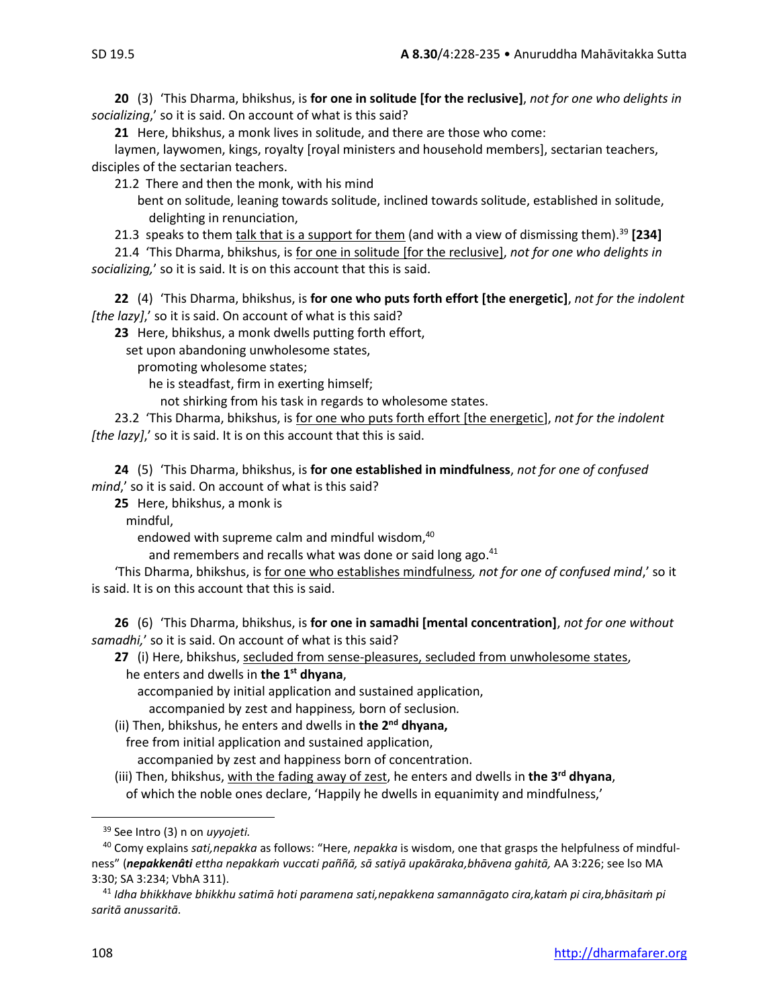**20** (3) 'This Dharma, bhikshus, is **for one in solitude [for the reclusive]**, *not for one who delights in socializing*,' so it is said. On account of what is this said?

**21** Here, bhikshus, a monk lives in solitude, and there are those who come:

laymen, laywomen, kings, royalty [royal ministers and household members], sectarian teachers, disciples of the sectarian teachers.

21.2 There and then the monk, with his mind

bent on solitude, leaning towards solitude, inclined towards solitude, established in solitude, delighting in renunciation,

21.3 speaks to them talk that is a support for them (and with a view of dismissing them).<sup>39</sup> **[234]**

21.4 'This Dharma, bhikshus, is for one in solitude [for the reclusive], *not for one who delights in socializing,*' so it is said. It is on this account that this is said.

**22** (4) 'This Dharma, bhikshus, is **for one who puts forth effort [the energetic]**, *not for the indolent [the lazy]*,' so it is said. On account of what is this said?

**23** Here, bhikshus, a monk dwells putting forth effort,

set upon abandoning unwholesome states,

promoting wholesome states;

he is steadfast, firm in exerting himself;

not shirking from his task in regards to wholesome states.

23.2 'This Dharma, bhikshus, is for one who puts forth effort [the energetic], *not for the indolent [the lazy]*,' so it is said. It is on this account that this is said.

**24** (5) 'This Dharma, bhikshus, is **for one established in mindfulness**, *not for one of confused mind*,' so it is said. On account of what is this said?

**25** Here, bhikshus, a monk is

mindful,

endowed with supreme calm and mindful wisdom, 40

and remembers and recalls what was done or said long ago.<sup>41</sup>

'This Dharma, bhikshus, is for one who establishes mindfulness*, not for one of confused mind*,' so it is said. It is on this account that this is said.

**26** (6) 'This Dharma, bhikshus, is **for one in samadhi [mental concentration]**, *not for one without samadhi,*' so it is said. On account of what is this said?

27 (i) Here, bhikshus, secluded from sense-pleasures, secluded from unwholesome states, he enters and dwells in **the 1 st dhyana**,

accompanied by initial application and sustained application,

accompanied by zest and happiness*,* born of seclusion*.*

(ii) Then, bhikshus, he enters and dwells in **the 2 nd dhyana,**

free from initial application and sustained application,

accompanied by zest and happiness born of concentration.

(iii) Then, bhikshus, with the fading away of zest, he enters and dwells in **the 3 rd dhyana**, of which the noble ones declare, 'Happily he dwells in equanimity and mindfulness,'

<sup>39</sup> See Intro (3) n on *uyyojeti.*

<sup>40</sup> Comy explains *sati,nepakka* as follows: "Here, *nepakka* is wisdom, one that grasps the helpfulness of mindfulness" (*nepakkenâti ettha nepakkaṁ vuccati paññā, sā satiyā upakāraka,bhāvena gahitā,* AA 3:226; see lso MA 3:30; SA 3:234; VbhA 311).

<sup>41</sup> *Idha bhikkhave bhikkhu satimā hoti paramena sati,nepakkena samannāgato cira,kataṁ pi cira,bhāsitaṁ pi saritā anussaritā.*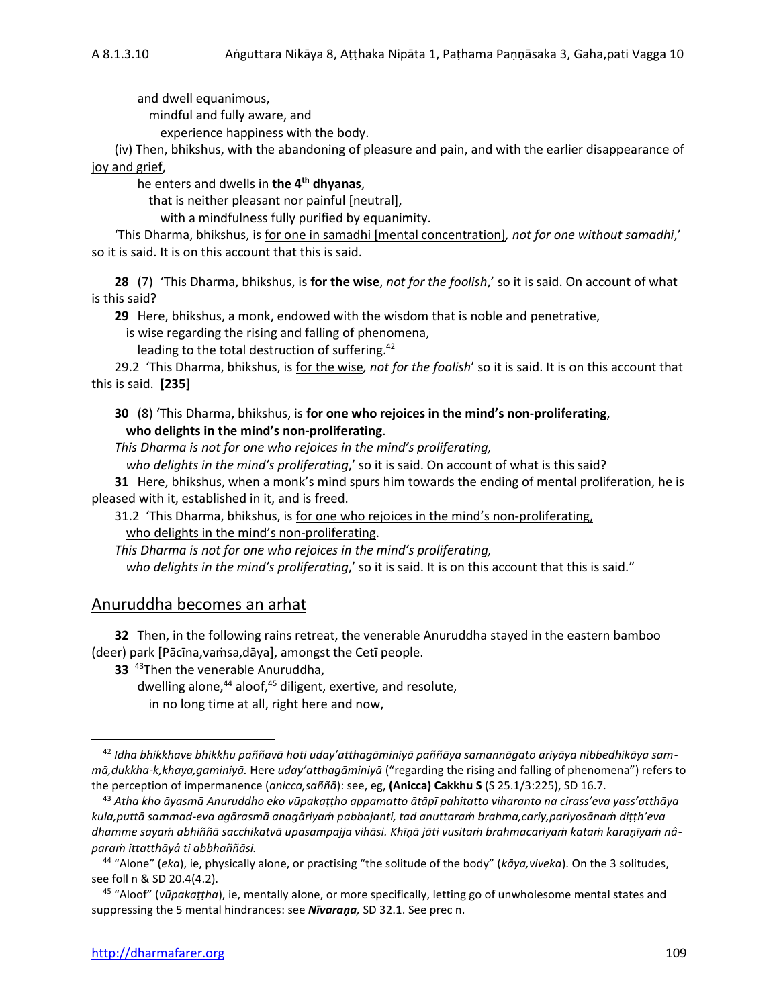and dwell equanimous,

mindful and fully aware, and

experience happiness with the body.

(iv) Then, bhikshus, with the abandoning of pleasure and pain, and with the earlier disappearance of joy and grief,

he enters and dwells in **the 4 th dhyanas**,

that is neither pleasant nor painful [neutral],

with a mindfulness fully purified by equanimity.

'This Dharma, bhikshus, is for one in samadhi [mental concentration]*, not for one without samadhi*,' so it is said. It is on this account that this is said.

**28** (7) 'This Dharma, bhikshus, is **for the wise**, *not for the foolish*,' so it is said. On account of what is this said?

**29** Here, bhikshus, a monk, endowed with the wisdom that is noble and penetrative,

is wise regarding the rising and falling of phenomena,

leading to the total destruction of suffering.<sup>42</sup>

29.2 'This Dharma, bhikshus, is for the wise*, not for the foolish*' so it is said. It is on this account that this is said. **[235]**

### **30** (8) 'This Dharma, bhikshus, is **for one who rejoices in the mind's non-proliferating**, **who delights in the mind's non-proliferating**.

*This Dharma is not for one who rejoices in the mind's proliferating,* 

*who delights in the mind's proliferating*,' so it is said. On account of what is this said?

**31** Here, bhikshus, when a monk's mind spurs him towards the ending of mental proliferation, he is pleased with it, established in it, and is freed.

31.2 'This Dharma, bhikshus, is for one who rejoices in the mind's non-proliferating, who delights in the mind's non-proliferating.

*This Dharma is not for one who rejoices in the mind's proliferating, who delights in the mind's proliferating*,' so it is said. It is on this account that this is said."

## Anuruddha becomes an arhat

**32** Then, in the following rains retreat, the venerable Anuruddha stayed in the eastern bamboo (deer) park [Pācīna,vaṁsa,dāya], amongst the Cetī people.

**33** <sup>43</sup>Then the venerable Anuruddha,

dwelling alone, $44$  aloof, $45$  diligent, exertive, and resolute, in no long time at all, right here and now,

<sup>42</sup> *Idha bhikkhave bhikkhu paññavā hoti uday'atthagāminiyā paññāya samannāgato ariyāya nibbedhikāya sammā,dukkha-k,khaya,gaminiyā.* Here *uday'atthagāminiyā* ("regarding the rising and falling of phenomena") refers to the perception of impermanence (*anicca,saññā*): see, eg, **(Anicca) Cakkhu S** (S 25.1/3:225), SD 16.7.

<sup>43</sup> *Atha kho āyasmā Anuruddho eko vūpakaṭṭho appamatto ātāpī pahitatto viharanto na cirass'eva yass'atthāya kula,puttā sammad-eva agārasmā anagāriyaṁ pabbajanti, tad anuttaraṁ brahma,cariy,pariyosānaṁ diṭṭh'eva dhamme sayaṁ abhiññā sacchikatvā upasampajja vihāsi. Khīṇā jāti vusitaṁ brahmacariyaṁ kataṁ karaṇīyaṁ nâparaṁ ittatthāyâ ti abbhaññāsi.*

<sup>44</sup> "Alone" (*eka*), ie, physically alone, or practising "the solitude of the body" (*kāya,viveka*). On the 3 solitudes, see foll n & SD 20.4(4.2).

<sup>45</sup> "Aloof" (*vūpakaṭṭha*), ie, mentally alone, or more specifically, letting go of unwholesome mental states and suppressing the 5 mental hindrances: see *Nīvaraṇa,* SD 32.1. See prec n.